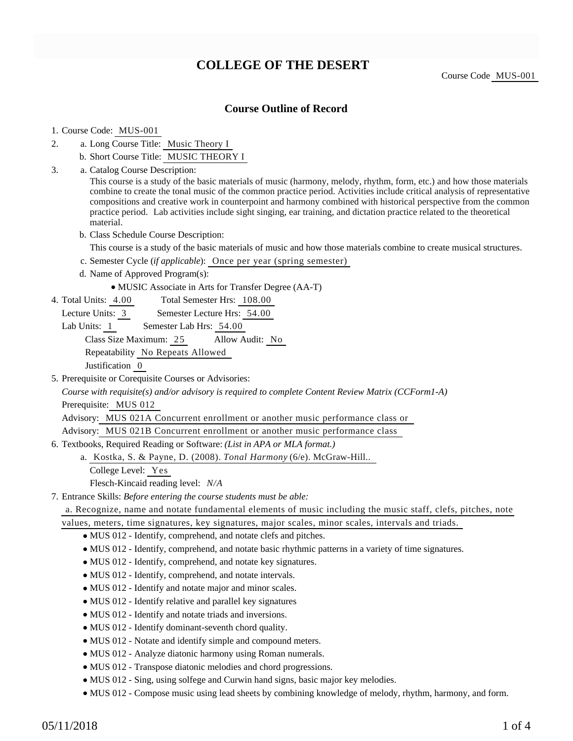# **COLLEGE OF THE DESERT**

Course Code MUS-001

# **Course Outline of Record**

### 1. Course Code: MUS-001

- a. Long Course Title: Music Theory I 2.
	- b. Short Course Title: MUSIC THEORY I
- Catalog Course Description: a. 3.

This course is a study of the basic materials of music (harmony, melody, rhythm, form, etc.) and how those materials combine to create the tonal music of the common practice period. Activities include critical analysis of representative compositions and creative work in counterpoint and harmony combined with historical perspective from the common practice period. Lab activities include sight singing, ear training, and dictation practice related to the theoretical material.

b. Class Schedule Course Description:

This course is a study of the basic materials of music and how those materials combine to create musical structures.

- c. Semester Cycle (*if applicable*): Once per year (spring semester)
- d. Name of Approved Program(s):
	- MUSIC Associate in Arts for Transfer Degree (AA-T)
- Total Semester Hrs: 108.00 4. Total Units: 4.00
	- Lecture Units: 3 Semester Lecture Hrs: 54.00

Lab Units: 1 Semester Lab Hrs: 54.00

Class Size Maximum: 25 Allow Audit: No

Repeatability No Repeats Allowed

Justification 0

5. Prerequisite or Corequisite Courses or Advisories:

*Course with requisite(s) and/or advisory is required to complete Content Review Matrix (CCForm1-A)* Prerequisite: MUS 012

Advisory: MUS 021A Concurrent enrollment or another music performance class or

Advisory: MUS 021B Concurrent enrollment or another music performance class

6. Textbooks, Required Reading or Software: (List in APA or MLA format.)

Kostka, S. & Payne, D. (2008). *Tonal Harmony* (6/e). McGraw-Hill.. a.

College Level: Yes

Flesch-Kincaid reading level: *N/A*

Entrance Skills: *Before entering the course students must be able:* 7.

a. Recognize, name and notate fundamental elements of music including the music staff, clefs, pitches, note

- values, meters, time signatures, key signatures, major scales, minor scales, intervals and triads.
	- MUS 012 Identify, comprehend, and notate clefs and pitches.
	- MUS 012 Identify, comprehend, and notate basic rhythmic patterns in a variety of time signatures.
	- MUS 012 Identify, comprehend, and notate key signatures.
	- MUS 012 Identify, comprehend, and notate intervals.
	- MUS 012 Identify and notate major and minor scales.
	- MUS 012 Identify relative and parallel key signatures
	- MUS 012 Identify and notate triads and inversions.
	- MUS 012 Identify dominant-seventh chord quality.
	- MUS 012 Notate and identify simple and compound meters.
	- MUS 012 Analyze diatonic harmony using Roman numerals.
	- MUS 012 Transpose diatonic melodies and chord progressions.
	- MUS 012 Sing, using solfege and Curwin hand signs, basic major key melodies.
	- MUS 012 Compose music using lead sheets by combining knowledge of melody, rhythm, harmony, and form.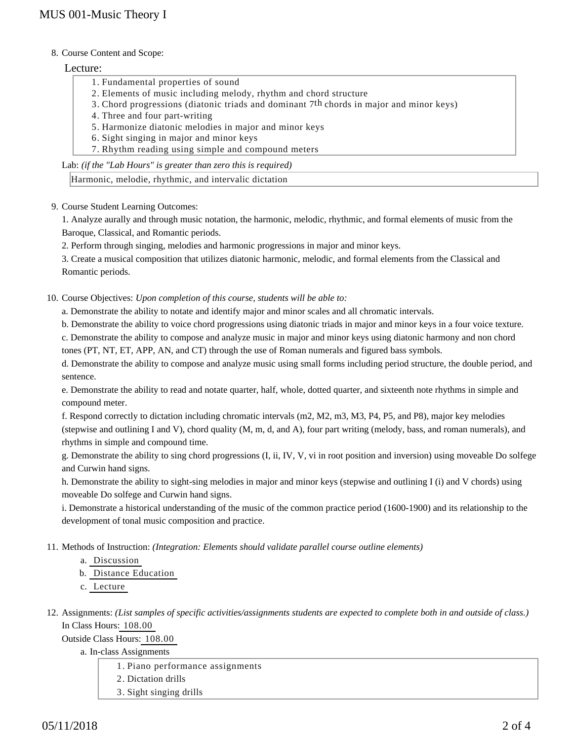### 8. Course Content and Scope:

## Lecture:

- 1. Fundamental properties of sound
- 2. Elements of music including melody, rhythm and chord structure
- 3. Chord progressions (diatonic triads and dominant  $7<sup>th</sup>$  chords in major and minor keys)
- 4. Three and four part-writing
- 5. Harmonize diatonic melodies in major and minor keys
- 6. Sight singing in major and minor keys
- 7. Rhythm reading using simple and compound meters

Lab: *(if the "Lab Hours" is greater than zero this is required)*

Harmonic, melodie, rhythmic, and intervalic dictation

9. Course Student Learning Outcomes:

1. Analyze aurally and through music notation, the harmonic, melodic, rhythmic, and formal elements of music from the Baroque, Classical, and Romantic periods.

2. Perform through singing, melodies and harmonic progressions in major and minor keys.

3. Create a musical composition that utilizes diatonic harmonic, melodic, and formal elements from the Classical and Romantic periods.

10. Course Objectives: Upon completion of this course, students will be able to:

a. Demonstrate the ability to notate and identify major and minor scales and all chromatic intervals.

b. Demonstrate the ability to voice chord progressions using diatonic triads in major and minor keys in a four voice texture.

c. Demonstrate the ability to compose and analyze music in major and minor keys using diatonic harmony and non chord tones (PT, NT, ET, APP, AN, and CT) through the use of Roman numerals and figured bass symbols.

d. Demonstrate the ability to compose and analyze music using small forms including period structure, the double period, and sentence.

e. Demonstrate the ability to read and notate quarter, half, whole, dotted quarter, and sixteenth note rhythms in simple and compound meter.

f. Respond correctly to dictation including chromatic intervals (m2, M2, m3, M3, P4, P5, and P8), major key melodies (stepwise and outlining I and V), chord quality (M, m, d, and A), four part writing (melody, bass, and roman numerals), and rhythms in simple and compound time.

g. Demonstrate the ability to sing chord progressions (I, ii, IV, V, vi in root position and inversion) using moveable Do solfege and Curwin hand signs.

h. Demonstrate the ability to sight-sing melodies in major and minor keys (stepwise and outlining I (i) and V chords) using moveable Do solfege and Curwin hand signs.

i. Demonstrate a historical understanding of the music of the common practice period (1600-1900) and its relationship to the development of tonal music composition and practice.

- 11. Methods of Instruction: *(Integration: Elements should validate parallel course outline elements)* 
	- a. Discussion

b. Distance Education

c. Lecture

12. Assignments: (List samples of specific activities/assignments students are expected to complete both in and outside of class.) In Class Hours: 108.00

Outside Class Hours: 108.00

a. In-class Assignments

1. Piano performance assignments

- 2. Dictation drills
- 3. Sight singing drills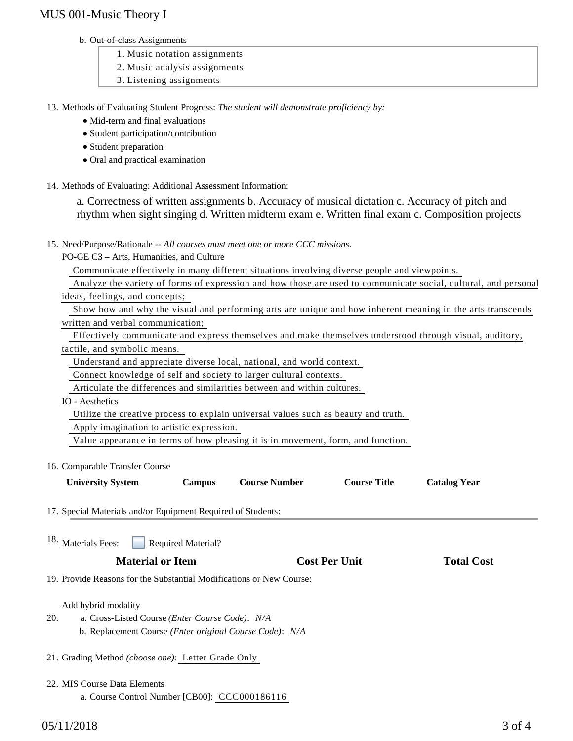# MUS 001-Music Theory I

#### b. Out-of-class Assignments

- 1. Music notation assignments
- 2. Music analysis assignments
- 3. Listening assignments

13. Methods of Evaluating Student Progress: The student will demonstrate proficiency by:

- Mid-term and final evaluations
- Student participation/contribution
- Student preparation
- Oral and practical examination
- 14. Methods of Evaluating: Additional Assessment Information:

a. Correctness of written assignments b. Accuracy of musical dictation c. Accuracy of pitch and rhythm when sight singing d. Written midterm exam e. Written final exam c. Composition projects

15. Need/Purpose/Rationale -- All courses must meet one or more CCC missions.

PO-GE C3 – Arts, Humanities, and Culture

Communicate effectively in many different situations involving diverse people and viewpoints.

 Analyze the variety of forms of expression and how those are used to communicate social, cultural, and personal ideas, feelings, and concepts;

 Show how and why the visual and performing arts are unique and how inherent meaning in the arts transcends written and verbal communication;

 Effectively communicate and express themselves and make themselves understood through visual, auditory, tactile, and symbolic means.

Understand and appreciate diverse local, national, and world context.

Connect knowledge of self and society to larger cultural contexts.

Articulate the differences and similarities between and within cultures.

IO - Aesthetics

Utilize the creative process to explain universal values such as beauty and truth.

Apply imagination to artistic expression.

Value appearance in terms of how pleasing it is in movement, form, and function.

16. Comparable Transfer Course

| <b>University System</b> | $\mathcal{L}$ ampus | <b>Course Number</b> | <b>Course Title</b> | <b>Catalog Year</b> |
|--------------------------|---------------------|----------------------|---------------------|---------------------|
|                          |                     |                      |                     |                     |

17. Special Materials and/or Equipment Required of Students:

Required Material? 18. Materials Fees:

# **Material or Item Cost Per Unit Total Cost**

19. Provide Reasons for the Substantial Modifications or New Course:

### Add hybrid modality

- a. Cross-Listed Course *(Enter Course Code)*: *N/A* 20.
	- b. Replacement Course *(Enter original Course Code)*: *N/A*
- 21. Grading Method *(choose one)*: Letter Grade Only
- 22. MIS Course Data Elements
	- a. Course Control Number [CB00]: CCC000186116